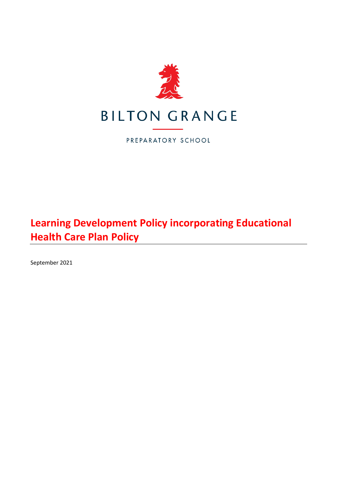

PREPARATORY SCHOOL

# **Learning Development Policy incorporating Educational Health Care Plan Policy**

September 2021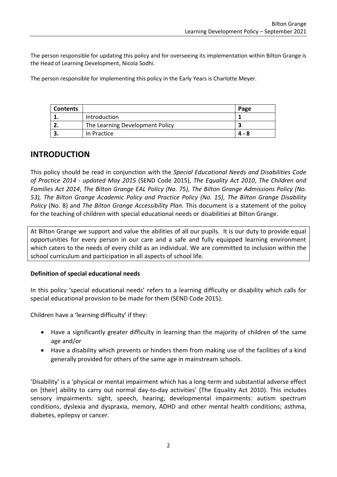The person responsible for updating this policy and for overseeing its implementation within Bilton Grange is the Head of Learning Development, Nicola Sodhi.

The person responsible for implementing this policy in the Early Years is Charlotte Meyer.

| <b>Contents</b> |                                 | Page  |
|-----------------|---------------------------------|-------|
|                 | Introduction                    |       |
| <u>. . </u>     | The Learning Development Policy |       |
|                 | In Practice                     | 4 - 8 |

# **INTRODUCTION**

This policy should be read in conjunction with the *Special Educational Needs and Disabilities Code of Practice 2014 - updated May 2015* (SEND Code 2015), *The Equality Act 2010*, *The Children and Families Act 2014*, *The Bilton Grange EAL Policy (No. 75), The Bilton Grange Admissions Policy (No. 53), The Bilton Grange Academic Policy and Practice Policy (No. 15), The Bilton Grange Disability Policy* (No. 8) and *The Bilton Grange Accessibility Plan*. This document is a statement of the policy for the teaching of children with special educational needs or disabilities at Bilton Grange.

At Bilton Grange we support and value the abilities of all our pupils. It is our duty to provide equal opportunities for every person in our care and a safe and fully equipped learning environment which caters to the needs of every child as an individual. We are committed to inclusion within the school curriculum and participation in all aspects of school life.

## **Definition of special educational needs**

In this policy 'special educational needs' refers to a learning difficulty or disability which calls for special educational provision to be made for them (SEND Code 2015).

Children have a 'learning difficulty' if they:

- Have a significantly greater difficulty in learning than the majority of children of the same age and/or
- Have a disability which prevents or hinders them from making use of the facilities of a kind generally provided for others of the same age in mainstream schools.

'Disability' is a 'physical or mental impairment which has a long-term and substantial adverse effect on [their] ability to carry out normal day-to-day activities' (The Equality Act 2010). This includes sensory impairments: sight, speech, hearing; developmental impairments: autism spectrum conditions, dyslexia and dyspraxia, memory, ADHD and other mental health conditions; asthma, diabetes, epilepsy or cancer.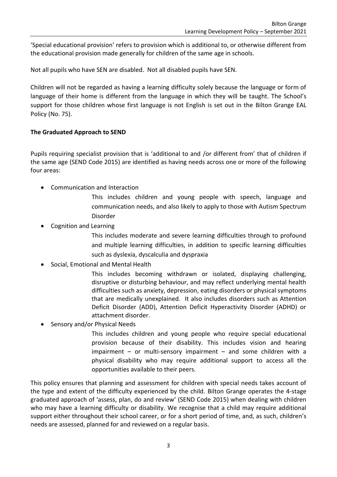'Special educational provision' refers to provision which is additional to, or otherwise different from the educational provision made generally for children of the same age in schools.

Not all pupils who have SEN are disabled. Not all disabled pupils have SEN.

Children will not be regarded as having a learning difficulty solely because the language or form of language of their home is different from the language in which they will be taught. The School's support for those children whose first language is not English is set out in the Bilton Grange EAL Policy (No. 75).

## **The Graduated Approach to SEND**

Pupils requiring specialist provision that is 'additional to and /or different from' that of children if the same age (SEND Code 2015) are identified as having needs across one or more of the following four areas:

- Communication and Interaction
	- This includes children and young people with speech, language and communication needs, and also likely to apply to those with Autism Spectrum Disorder
- Cognition and Learning
	- This includes moderate and severe learning difficulties through to profound and multiple learning difficulties, in addition to specific learning difficulties such as dyslexia, dyscalculia and dyspraxia
- Social, Emotional and Mental Health
	- This includes becoming withdrawn or isolated, displaying challenging, disruptive or disturbing behaviour, and may reflect underlying mental health difficulties such as anxiety, depression, eating disorders or physical symptoms that are medically unexplained. It also includes disorders such as Attention Deficit Disorder (ADD), Attention Deficit Hyperactivity Disorder (ADHD) or attachment disorder.
- Sensory and/or Physical Needs

This includes children and young people who require special educational provision because of their disability. This includes vision and hearing impairment – or multi-sensory impairment – and some children with a physical disability who may require additional support to access all the opportunities available to their peers.

This policy ensures that planning and assessment for children with special needs takes account of the type and extent of the difficulty experienced by the child. Bilton Grange operates the 4-stage graduated approach of 'assess, plan, do and review' (SEND Code 2015) when dealing with children who may have a learning difficulty or disability. We recognise that a child may require additional support either throughout their school career, or for a short period of time, and, as such, children's needs are assessed, planned for and reviewed on a regular basis.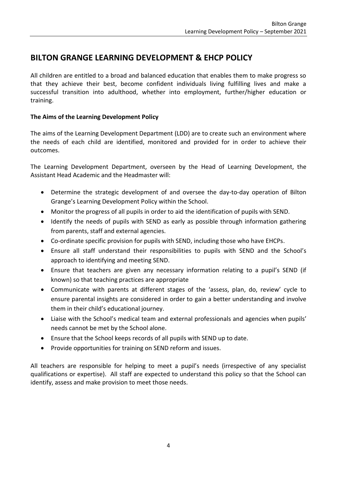# **BILTON GRANGE LEARNING DEVELOPMENT & EHCP POLICY**

All children are entitled to a broad and balanced education that enables them to make progress so that they achieve their best, become confident individuals living fulfilling lives and make a successful transition into adulthood, whether into employment, further/higher education or training.

# **The Aims of the Learning Development Policy**

The aims of the Learning Development Department (LDD) are to create such an environment where the needs of each child are identified, monitored and provided for in order to achieve their outcomes.

The Learning Development Department, overseen by the Head of Learning Development, the Assistant Head Academic and the Headmaster will:

- Determine the strategic development of and oversee the day-to-day operation of Bilton Grange's Learning Development Policy within the School.
- Monitor the progress of all pupils in order to aid the identification of pupils with SEND.
- Identify the needs of pupils with SEND as early as possible through information gathering from parents, staff and external agencies.
- Co-ordinate specific provision for pupils with SEND, including those who have EHCPs.
- Ensure all staff understand their responsibilities to pupils with SEND and the School's approach to identifying and meeting SEND.
- Ensure that teachers are given any necessary information relating to a pupil's SEND (if known) so that teaching practices are appropriate
- Communicate with parents at different stages of the 'assess, plan, do, review' cycle to ensure parental insights are considered in order to gain a better understanding and involve them in their child's educational journey.
- Liaise with the School's medical team and external professionals and agencies when pupils' needs cannot be met by the School alone.
- Ensure that the School keeps records of all pupils with SEND up to date.
- Provide opportunities for training on SEND reform and issues.

All teachers are responsible for helping to meet a pupil's needs (irrespective of any specialist qualifications or expertise). All staff are expected to understand this policy so that the School can identify, assess and make provision to meet those needs.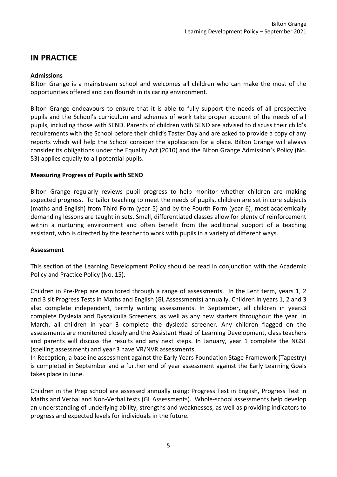# **IN PRACTICE**

### **Admissions**

Bilton Grange is a mainstream school and welcomes all children who can make the most of the opportunities offered and can flourish in its caring environment.

Bilton Grange endeavours to ensure that it is able to fully support the needs of all prospective pupils and the School's curriculum and schemes of work take proper account of the needs of all pupils, including those with SEND. Parents of children with SEND are advised to discuss their child's requirements with the School before their child's Taster Day and are asked to provide a copy of any reports which will help the School consider the application for a place. Bilton Grange will always consider its obligations under the Equality Act (2010) and the Bilton Grange Admission's Policy (No. 53) applies equally to all potential pupils.

#### **Measuring Progress of Pupils with SEND**

Bilton Grange regularly reviews pupil progress to help monitor whether children are making expected progress. To tailor teaching to meet the needs of pupils, children are set in core subjects (maths and English) from Third Form (year 5) and by the Fourth Form (year 6), most academically demanding lessons are taught in sets. Small, differentiated classes allow for plenty of reinforcement within a nurturing environment and often benefit from the additional support of a teaching assistant, who is directed by the teacher to work with pupils in a variety of different ways.

#### **Assessment**

This section of the Learning Development Policy should be read in conjunction with the Academic Policy and Practice Policy (No. 15).

Children in Pre-Prep are monitored through a range of assessments. In the Lent term, years 1, 2 and 3 sit Progress Tests in Maths and English (GL Assessments) annually. Children in years 1, 2 and 3 also complete independent, termly writing assessments. In September, all children in years3 complete Dyslexia and Dyscalculia Screeners, as well as any new starters throughout the year. In March, all children in year 3 complete the dyslexia screener. Any children flagged on the assessments are monitored closely and the Assistant Head of Learning Development, class teachers and parents will discuss the results and any next steps. In January, year 1 complete the NGST (spelling assessment) and year 3 have VR/NVR assessments.

In Reception, a baseline assessment against the Early Years Foundation Stage Framework (Tapestry) is completed in September and a further end of year assessment against the Early Learning Goals takes place in June.

Children in the Prep school are assessed annually using: Progress Test in English, Progress Test in Maths and Verbal and Non-Verbal tests (GL Assessments). Whole-school assessments help develop an understanding of underlying ability, strengths and weaknesses, as well as providing indicators to progress and expected levels for individuals in the future.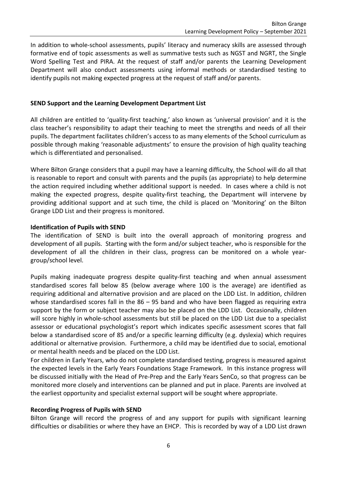In addition to whole-school assessments, pupils' literacy and numeracy skills are assessed through formative end of topic assessments as well as summative tests such as NGST and NGRT, the Single Word Spelling Test and PIRA. At the request of staff and/or parents the Learning Development Department will also conduct assessments using informal methods or standardised testing to identify pupils not making expected progress at the request of staff and/or parents.

### **SEND Support and the Learning Development Department List**

All children are entitled to 'quality-first teaching,' also known as 'universal provision' and it is the class teacher's responsibility to adapt their teaching to meet the strengths and needs of all their pupils. The department facilitates children's access to as many elements of the School curriculum as possible through making 'reasonable adjustments' to ensure the provision of high quality teaching which is differentiated and personalised.

Where Bilton Grange considers that a pupil may have a learning difficulty, the School will do all that is reasonable to report and consult with parents and the pupils (as appropriate) to help determine the action required including whether additional support is needed. In cases where a child is not making the expected progress, despite quality-first teaching, the Department will intervene by providing additional support and at such time, the child is placed on 'Monitoring' on the Bilton Grange LDD List and their progress is monitored.

#### **Identification of Pupils with SEND**

The identification of SEND is built into the overall approach of monitoring progress and development of all pupils. Starting with the form and/or subject teacher, who is responsible for the development of all the children in their class, progress can be monitored on a whole yeargroup/school level.

Pupils making inadequate progress despite quality-first teaching and when annual assessment standardised scores fall below 85 (below average where 100 is the average) are identified as requiring additional and alternative provision and are placed on the LDD List. In addition, children whose standardised scores fall in the 86 – 95 band and who have been flagged as requiring extra support by the form or subject teacher may also be placed on the LDD List. Occasionally, children will score highly in whole-school assessments but still be placed on the LDD List due to a specialist assessor or educational psychologist's report which indicates specific assessment scores that fall below a standardised score of 85 and/or a specific learning difficulty (e.g. dyslexia) which requires additional or alternative provision. Furthermore, a child may be identified due to social, emotional or mental health needs and be placed on the LDD List.

For children in Early Years, who do not complete standardised testing, progress is measured against the expected levels in the Early Years Foundations Stage Framework. In this instance progress will be discussed initially with the Head of Pre-Prep and the Early Years SenCo, so that progress can be monitored more closely and interventions can be planned and put in place. Parents are involved at the earliest opportunity and specialist external support will be sought where appropriate.

#### **Recording Progress of Pupils with SEND**

Bilton Grange will record the progress of and any support for pupils with significant learning difficulties or disabilities or where they have an EHCP. This is recorded by way of a LDD List drawn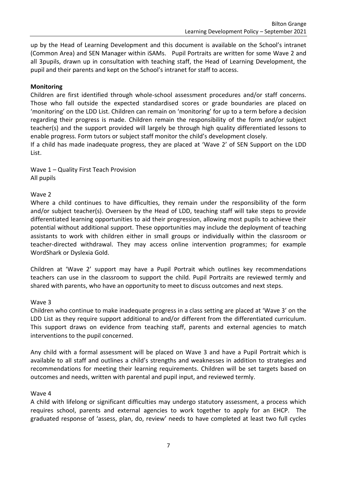up by the Head of Learning Development and this document is available on the School's intranet (Common Area) and SEN Manager within iSAMs. Pupil Portraits are written for some Wave 2 and all 3pupils, drawn up in consultation with teaching staff, the Head of Learning Development, the pupil and their parents and kept on the School's intranet for staff to access.

### **Monitoring**

Children are first identified through whole-school assessment procedures and/or staff concerns. Those who fall outside the expected standardised scores or grade boundaries are placed on 'monitoring' on the LDD List. Children can remain on 'monitoring' for up to a term before a decision regarding their progress is made. Children remain the responsibility of the form and/or subject teacher(s) and the support provided will largely be through high quality differentiated lessons to enable progress. Form tutors or subject staff monitor the child's development closely.

If a child has made inadequate progress, they are placed at 'Wave 2' of SEN Support on the LDD List.

Wave 1 – Quality First Teach Provision All pupils

#### Wave 2

Where a child continues to have difficulties, they remain under the responsibility of the form and/or subject teacher(s). Overseen by the Head of LDD, teaching staff will take steps to provide differentiated learning opportunities to aid their progression, allowing most pupils to achieve their potential without additional support. These opportunities may include the deployment of teaching assistants to work with children either in small groups or individually within the classroom or teacher-directed withdrawal. They may access online intervention programmes; for example WordShark or Dyslexia Gold.

Children at 'Wave 2' support may have a Pupil Portrait which outlines key recommendations teachers can use in the classroom to support the child. Pupil Portraits are reviewed termly and shared with parents, who have an opportunity to meet to discuss outcomes and next steps.

#### Wave 3

Children who continue to make inadequate progress in a class setting are placed at 'Wave 3' on the LDD List as they require support additional to and/or different from the differentiated curriculum. This support draws on evidence from teaching staff, parents and external agencies to match interventions to the pupil concerned.

Any child with a formal assessment will be placed on Wave 3 and have a Pupil Portrait which is available to all staff and outlines a child's strengths and weaknesses in addition to strategies and recommendations for meeting their learning requirements. Children will be set targets based on outcomes and needs, written with parental and pupil input, and reviewed termly.

#### Wave 4

A child with lifelong or significant difficulties may undergo statutory assessment, a process which requires school, parents and external agencies to work together to apply for an EHCP. The graduated response of 'assess, plan, do, review' needs to have completed at least two full cycles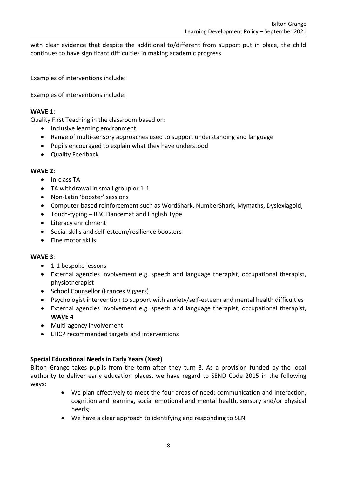with clear evidence that despite the additional to/different from support put in place, the child continues to have significant difficulties in making academic progress.

Examples of interventions include:

Examples of interventions include:

### **WAVE 1:**

Quality First Teaching in the classroom based on:

- Inclusive learning environment
- Range of multi-sensory approaches used to support understanding and language
- Pupils encouraged to explain what they have understood
- Quality Feedback

#### **WAVE 2:**

- In-class TA
- TA withdrawal in small group or 1-1
- Non-Latin 'booster' sessions
- Computer-based reinforcement such as WordShark, NumberShark, Mymaths, Dyslexiagold,
- Touch-typing BBC Dancemat and English Type
- Literacy enrichment
- Social skills and self-esteem/resilience boosters
- Fine motor skills

#### **WAVE 3**:

- 1-1 bespoke lessons
- External agencies involvement e.g. speech and language therapist, occupational therapist, physiotherapist
- School Counsellor (Frances Viggers)
- Psychologist intervention to support with anxiety/self-esteem and mental health difficulties
- External agencies involvement e.g. speech and language therapist, occupational therapist, **WAVE 4**
- Multi-agency involvement
- EHCP recommended targets and interventions

## **Special Educational Needs in Early Years (Nest)**

Bilton Grange takes pupils from the term after they turn 3. As a provision funded by the local authority to deliver early education places, we have regard to SEND Code 2015 in the following ways:

- We plan effectively to meet the four areas of need: communication and interaction, cognition and learning, social emotional and mental health, sensory and/or physical needs;
- We have a clear approach to identifying and responding to SEN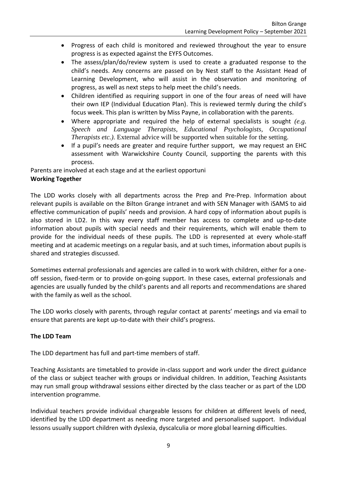- Progress of each child is monitored and reviewed throughout the year to ensure progress is as expected against the EYFS Outcomes.
- The assess/plan/do/review system is used to create a graduated response to the child's needs. Any concerns are passed on by Nest staff to the Assistant Head of Learning Development, who will assist in the observation and monitoring of progress, as well as next steps to help meet the child's needs.
- Children identified as requiring support in one of the four areas of need will have their own IEP (Individual Education Plan). This is reviewed termly during the child's focus week. This plan is written by Miss Payne, in collaboration with the parents.
- Where appropriate and required the help of external specialists is sought *(e.g. Speech and Language Therapists, Educational Psychologists, Occupational Therapists etc.).* External advice will be supported when suitable for the setting.
- If a pupil's needs are greater and require further support, we may request an EHC assessment with Warwickshire County Council, supporting the parents with this process.

Parents are involved at each stage and at the earliest opportuni **Working Together**

The LDD works closely with all departments across the Prep and Pre-Prep. Information about relevant pupils is available on the Bilton Grange intranet and with SEN Manager with iSAMS to aid effective communication of pupils' needs and provision. A hard copy of information about pupils is also stored in LD2. In this way every staff member has access to complete and up-to-date information about pupils with special needs and their requirements, which will enable them to provide for the individual needs of these pupils. The LDD is represented at every whole-staff meeting and at academic meetings on a regular basis, and at such times, information about pupils is shared and strategies discussed.

Sometimes external professionals and agencies are called in to work with children, either for a oneoff session, fixed-term or to provide on-going support. In these cases, external professionals and agencies are usually funded by the child's parents and all reports and recommendations are shared with the family as well as the school.

The LDD works closely with parents, through regular contact at parents' meetings and via email to ensure that parents are kept up-to-date with their child's progress.

# **The LDD Team**

The LDD department has full and part-time members of staff.

Teaching Assistants are timetabled to provide in-class support and work under the direct guidance of the class or subject teacher with groups or individual children. In addition, Teaching Assistants may run small group withdrawal sessions either directed by the class teacher or as part of the LDD intervention programme.

Individual teachers provide individual chargeable lessons for children at different levels of need, identified by the LDD department as needing more targeted and personalised support. Individual lessons usually support children with dyslexia, dyscalculia or more global learning difficulties.